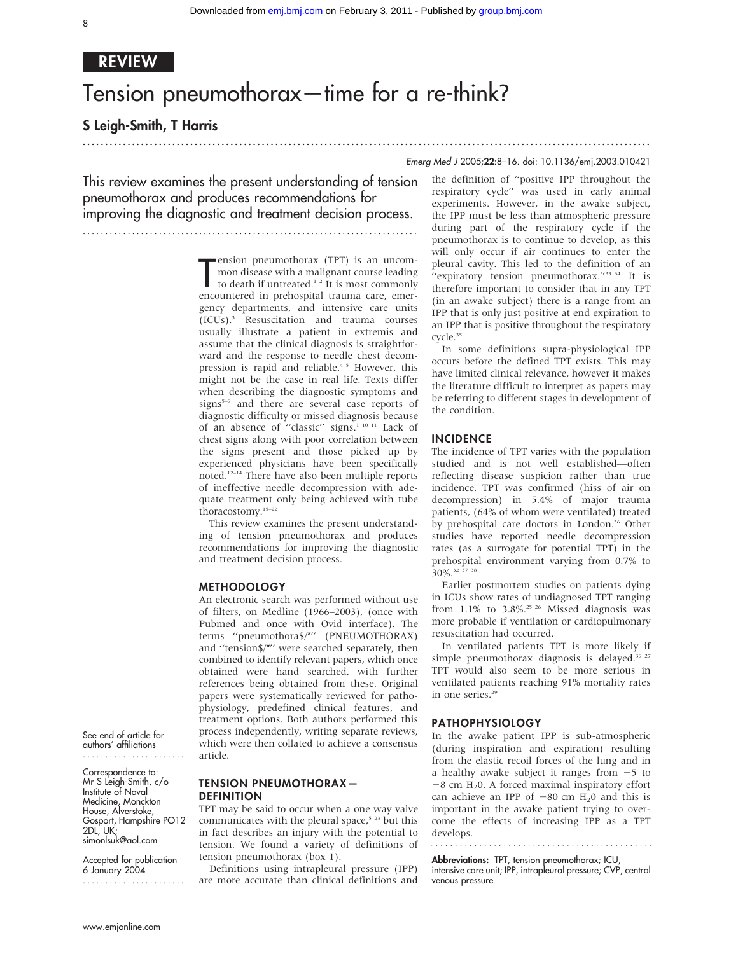...............................................................................................................................

# REVIEW

# Tension pneumothorax—time for a re-think?

S Leigh-Smith, T Harris

## Emerg Med J 2005;22:8–16. doi: 10.1136/emj.2003.010421

This review examines the present understanding of tension pneumothorax and produces recommendations for improving the diagnostic and treatment decision process.

...........................................................................

ension pneumothorax (1PT) is an uncom-<br>mon disease with a malignant course leading<br>to death if untreated.<sup>1</sup> <sup>2</sup> It is most commonly<br>encountered in prehospital trauma care, emerension pneumothorax (TPT) is an uncommon disease with a malignant course leading to death if untreated.<sup>12</sup> It is most commonly gency departments, and intensive care units (ICUs).3 Resuscitation and trauma courses usually illustrate a patient in extremis and assume that the clinical diagnosis is straightforward and the response to needle chest decompression is rapid and reliable.<sup>45</sup> However, this might not be the case in real life. Texts differ when describing the diagnostic symptoms and signs<sup>5-9</sup> and there are several case reports of diagnostic difficulty or missed diagnosis because of an absence of "classic" signs.<sup>1 10 11</sup> Lack of chest signs along with poor correlation between the signs present and those picked up by experienced physicians have been specifically noted.12–14 There have also been multiple reports of ineffective needle decompression with adequate treatment only being achieved with tube thoracostomy.15–22

This review examines the present understanding of tension pneumothorax and produces recommendations for improving the diagnostic and treatment decision process.

#### METHODOLOGY

An electronic search was performed without use of filters, on Medline (1966–2003), (once with Pubmed and once with Ovid interface). The terms ''pneumothora\$/\*'' (PNEUMOTHORAX) and ''tension\$/\*'' were searched separately, then combined to identify relevant papers, which once obtained were hand searched, with further references being obtained from these. Original papers were systematically reviewed for pathophysiology, predefined clinical features, and treatment options. Both authors performed this process independently, writing separate reviews, which were then collated to achieve a consensus article.

See end of article for authors' affiliations .......................

Correspondence to: Mr S Leigh-Smith, c/o Institute of Naval Medicine, Monckton House, Alverstoke, Gosport, Hampshire PO12  $2DL$ , UK: simonlsuk@aol.com

Accepted for publication 6 January 2004

### TENSION PNEUMOTHORAX— DEFINITION

TPT may be said to occur when a one way valve communicates with the pleural space,<sup>5</sup> <sup>23</sup> but this in fact describes an injury with the potential to tension. We found a variety of definitions of tension pneumothorax (box 1).

Definitions using intrapleural pressure (IPP) are more accurate than clinical definitions and the definition of ''positive IPP throughout the respiratory cycle'' was used in early animal experiments. However, in the awake subject, the IPP must be less than atmospheric pressure during part of the respiratory cycle if the pneumothorax is to continue to develop, as this will only occur if air continues to enter the pleural cavity. This led to the definition of an "expiratory tension pneumothorax."<sup>33 34</sup> It is therefore important to consider that in any TPT (in an awake subject) there is a range from an IPP that is only just positive at end expiration to an IPP that is positive throughout the respiratory cycle.<sup>35</sup>

In some definitions supra-physiological IPP occurs before the defined TPT exists. This may have limited clinical relevance, however it makes the literature difficult to interpret as papers may be referring to different stages in development of the condition.

#### INCIDENCE

The incidence of TPT varies with the population studied and is not well established—often reflecting disease suspicion rather than true incidence. TPT was confirmed (hiss of air on decompression) in 5.4% of major trauma patients, (64% of whom were ventilated) treated by prehospital care doctors in London.<sup>36</sup> Other studies have reported needle decompression rates (as a surrogate for potential TPT) in the prehospital environment varying from 0.7% to 30%.32 37 38

Earlier postmortem studies on patients dying in ICUs show rates of undiagnosed TPT ranging from  $1.1\%$  to 3.8%.<sup>25 26</sup> Missed diagnosis was more probable if ventilation or cardiopulmonary resuscitation had occurred.

In ventilated patients TPT is more likely if simple pneumothorax diagnosis is delayed.<sup>39 27</sup> TPT would also seem to be more serious in ventilated patients reaching 91% mortality rates in one series.<sup>29</sup>

### PATHOPHYSIOLOGY

In the awake patient IPP is sub-atmospheric (during inspiration and expiration) resulting from the elastic recoil forces of the lung and in a healthy awake subject it ranges from  $-5$  to  $-8$  cm H<sub>2</sub>0. A forced maximal inspiratory effort can achieve an IPP of  $-80$  cm H<sub>2</sub>0 and this is important in the awake patient trying to overcome the effects of increasing IPP as a TPT develops.

Abbreviations: TPT, tension pneumothorax; ICU,

intensive care unit; IPP, intrapleural pressure; CVP, central venous pressure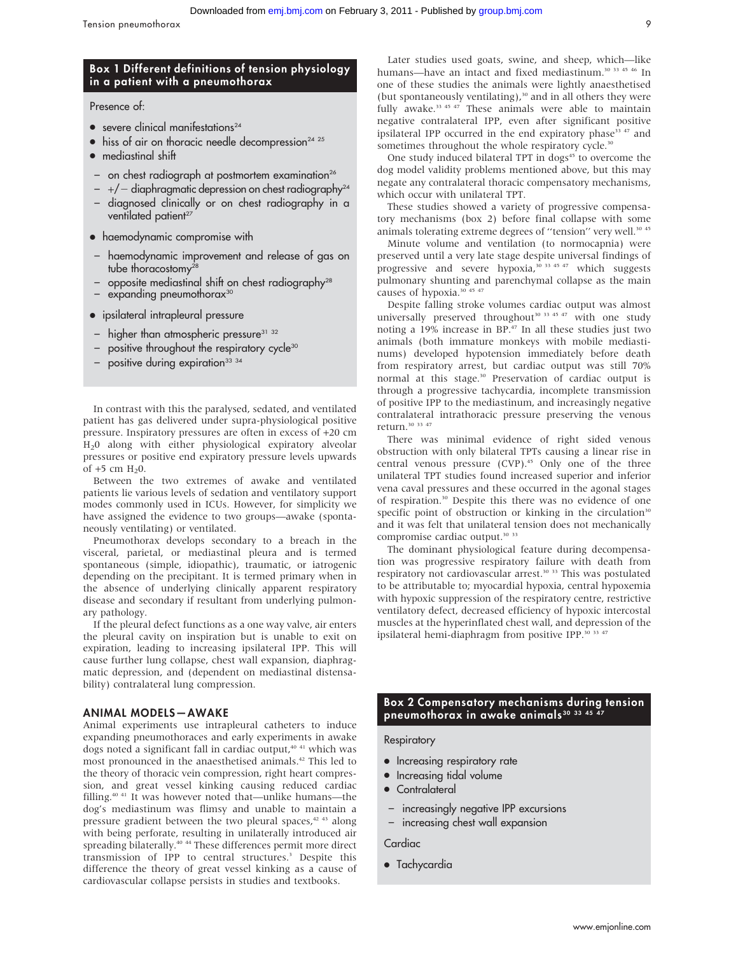### Box 1 Different definitions of tension physiology in a patient with a pneumothorax

Presence of:

- $\bullet$  severe clinical manifestations<sup>24</sup>
- $\bullet$  hiss of air on thoracic needle decompression<sup>24 25</sup>
- $\bullet$  mediastinal shift
- $-$  on chest radiograph at postmortem examination<sup>26</sup>
- $-$  +/  $-$  diaphragmatic depression on chest radiography<sup>24</sup>
- diagnosed clinically or on chest radiography in a ventilated patient<sup>27</sup>
- haemodynamic compromise with
- haemodynamic improvement and release of gas on tube thoracostomy<sup>28</sup>
- $-$  opposite mediastinal shift on chest radiography<sup>28</sup>
- expanding pneumothorax<sup>30</sup>
- ipsilateral intrapleural pressure
- higher than atmospheric pressure<sup>31</sup> <sup>32</sup>
- positive throughout the respiratory cycle<sup>30</sup>
- positive during expiration<sup>33</sup> 34

In contrast with this the paralysed, sedated, and ventilated patient has gas delivered under supra-physiological positive pressure. Inspiratory pressures are often in excess of +20 cm H20 along with either physiological expiratory alveolar pressures or positive end expiratory pressure levels upwards of  $+5$  cm  $H_20$ .

Between the two extremes of awake and ventilated patients lie various levels of sedation and ventilatory support modes commonly used in ICUs. However, for simplicity we have assigned the evidence to two groups—awake (spontaneously ventilating) or ventilated.

Pneumothorax develops secondary to a breach in the visceral, parietal, or mediastinal pleura and is termed spontaneous (simple, idiopathic), traumatic, or iatrogenic depending on the precipitant. It is termed primary when in the absence of underlying clinically apparent respiratory disease and secondary if resultant from underlying pulmonary pathology.

If the pleural defect functions as a one way valve, air enters the pleural cavity on inspiration but is unable to exit on expiration, leading to increasing ipsilateral IPP. This will cause further lung collapse, chest wall expansion, diaphragmatic depression, and (dependent on mediastinal distensability) contralateral lung compression.

#### ANIMAL MODELS—AWAKE

Animal experiments use intrapleural catheters to induce expanding pneumothoraces and early experiments in awake dogs noted a significant fall in cardiac output,<sup>40 41</sup> which was most pronounced in the anaesthetised animals.42 This led to the theory of thoracic vein compression, right heart compression, and great vessel kinking causing reduced cardiac filling.<sup>40 41</sup> It was however noted that—unlike humans—the dog's mediastinum was flimsy and unable to maintain a pressure gradient between the two pleural spaces,<sup>42 43</sup> along with being perforate, resulting in unilaterally introduced air spreading bilaterally.<sup>40</sup> <sup>44</sup> These differences permit more direct transmission of IPP to central structures.3 Despite this difference the theory of great vessel kinking as a cause of cardiovascular collapse persists in studies and textbooks.

Later studies used goats, swine, and sheep, which—like humans—have an intact and fixed mediastinum.<sup>30</sup> <sup>33</sup> <sup>45</sup> <sup>46</sup> In one of these studies the animals were lightly anaesthetised (but spontaneously ventilating), $30$  and in all others they were fully awake. $33 \times 45 \times 47$  These animals were able to maintain negative contralateral IPP, even after significant positive ipsilateral IPP occurred in the end expiratory phase<sup>33 47</sup> and sometimes throughout the whole respiratory cycle.<sup>30</sup>

One study induced bilateral TPT in dogs<sup>45</sup> to overcome the dog model validity problems mentioned above, but this may negate any contralateral thoracic compensatory mechanisms, which occur with unilateral TPT.

These studies showed a variety of progressive compensatory mechanisms (box 2) before final collapse with some animals tolerating extreme degrees of "tension" very well.<sup>30 45</sup>

Minute volume and ventilation (to normocapnia) were preserved until a very late stage despite universal findings of progressive and severe hypoxia,<sup>30</sup><sup>33 45</sup><sup>47</sup> which suggests pulmonary shunting and parenchymal collapse as the main causes of hypoxia.<sup>30 45 47</sup>

Despite falling stroke volumes cardiac output was almost universally preserved throughout<sup>30 33 45 47</sup> with one study noting a 19% increase in BP.47 In all these studies just two animals (both immature monkeys with mobile mediastinums) developed hypotension immediately before death from respiratory arrest, but cardiac output was still 70% normal at this stage.<sup>30</sup> Preservation of cardiac output is through a progressive tachycardia, incomplete transmission of positive IPP to the mediastinum, and increasingly negative contralateral intrathoracic pressure preserving the venous return.30 33 47

There was minimal evidence of right sided venous obstruction with only bilateral TPTs causing a linear rise in central venous pressure (CVP).<sup>45</sup> Only one of the three unilateral TPT studies found increased superior and inferior vena caval pressures and these occurred in the agonal stages of respiration.30 Despite this there was no evidence of one specific point of obstruction or kinking in the circulation<sup>30</sup> and it was felt that unilateral tension does not mechanically compromise cardiac output.<sup>30</sup><sup>33</sup>

The dominant physiological feature during decompensation was progressive respiratory failure with death from respiratory not cardiovascular arrest.<sup>30</sup><sup>33</sup> This was postulated to be attributable to; myocardial hypoxia, central hypoxemia with hypoxic suppression of the respiratory centre, restrictive ventilatory defect, decreased efficiency of hypoxic intercostal muscles at the hyperinflated chest wall, and depression of the ipsilateral hemi-diaphragm from positive IPP.<sup>30</sup> <sup>33</sup> <sup>47</sup>

### Box 2 Compensatory mechanisms during tension pneumothorax in awake animals<sup>30</sup> 33 45 47

#### **Respiratory**

- Increasing respiratory rate
- Increasing tidal volume
- Contralateral
- increasingly negative IPP excursions
- increasing chest wall expansion

#### **Cardiac**

• Tachycardia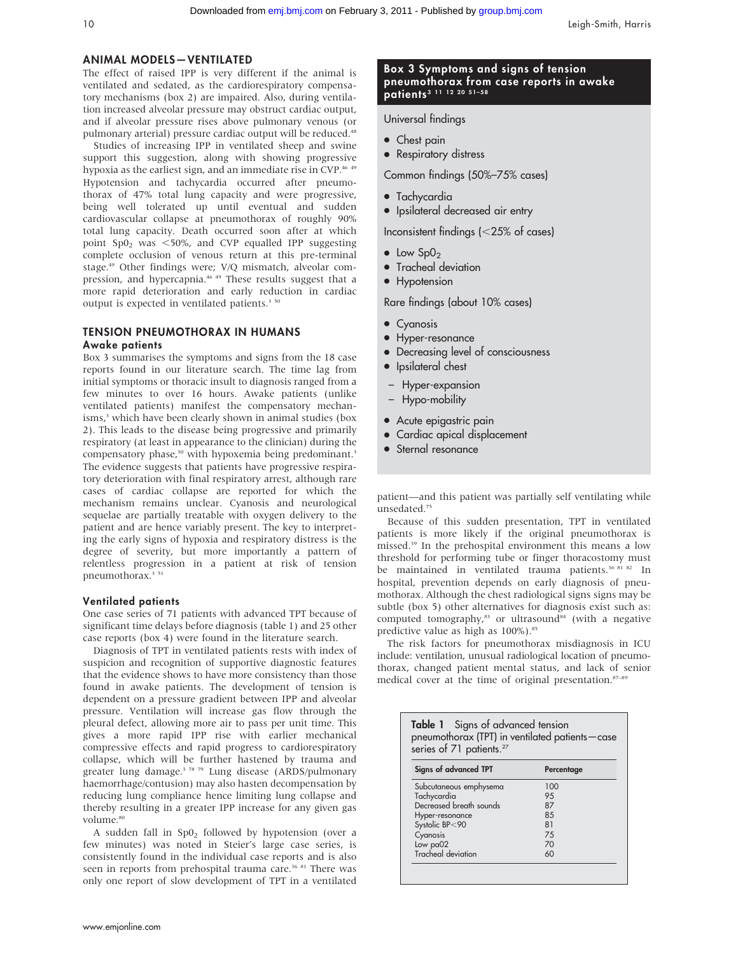### ANIMAL MODELS—VENTILATED

The effect of raised IPP is very different if the animal is ventilated and sedated, as the cardiorespiratory compensatory mechanisms (box 2) are impaired. Also, during ventilation increased alveolar pressure may obstruct cardiac output, and if alveolar pressure rises above pulmonary venous (or pulmonary arterial) pressure cardiac output will be reduced.<sup>48</sup>

Studies of increasing IPP in ventilated sheep and swine support this suggestion, along with showing progressive hypoxia as the earliest sign, and an immediate rise in CVP.<sup>46 49</sup> Hypotension and tachycardia occurred after pneumothorax of 47% total lung capacity and were progressive, being well tolerated up until eventual and sudden cardiovascular collapse at pneumothorax of roughly 90% total lung capacity. Death occurred soon after at which point  $Sp_2$  was <50%, and CVP equalled IPP suggesting complete occlusion of venous return at this pre-terminal stage.49 Other findings were; V/Q mismatch, alveolar compression, and hypercapnia.<sup>46 49</sup> These results suggest that a more rapid deterioration and early reduction in cardiac output is expected in ventilated patients.<sup>3 50</sup>

### TENSION PNEUMOTHORAX IN HUMANS Awake patients

Box 3 summarises the symptoms and signs from the 18 case reports found in our literature search. The time lag from initial symptoms or thoracic insult to diagnosis ranged from a few minutes to over 16 hours. Awake patients (unlike ventilated patients) manifest the compensatory mechanisms,<sup>3</sup> which have been clearly shown in animal studies (box 2). This leads to the disease being progressive and primarily respiratory (at least in appearance to the clinician) during the compensatory phase,<sup>30</sup> with hypoxemia being predominant.<sup>3</sup> The evidence suggests that patients have progressive respiratory deterioration with final respiratory arrest, although rare cases of cardiac collapse are reported for which the mechanism remains unclear. Cyanosis and neurological sequelae are partially treatable with oxygen delivery to the patient and are hence variably present. The key to interpreting the early signs of hypoxia and respiratory distress is the degree of severity, but more importantly a pattern of relentless progression in a patient at risk of tension pneumothorax.<sup>3</sup><sup>51</sup>

### Ventilated patients

One case series of 71 patients with advanced TPT because of significant time delays before diagnosis (table 1) and 25 other case reports (box 4) were found in the literature search.

Diagnosis of TPT in ventilated patients rests with index of suspicion and recognition of supportive diagnostic features that the evidence shows to have more consistency than those found in awake patients. The development of tension is dependent on a pressure gradient between IPP and alveolar pressure. Ventilation will increase gas flow through the pleural defect, allowing more air to pass per unit time. This gives a more rapid IPP rise with earlier mechanical compressive effects and rapid progress to cardiorespiratory collapse, which will be further hastened by trauma and greater lung damage.<sup>3</sup> <sup>78 79</sup> Lung disease (ARDS/pulmonary haemorrhage/contusion) may also hasten decompensation by reducing lung compliance hence limiting lung collapse and thereby resulting in a greater IPP increase for any given gas volume.<sup>80</sup>

A sudden fall in  $Sp0<sub>2</sub>$  followed by hypotension (over a few minutes) was noted in Steier's large case series, is consistently found in the individual case reports and is also seen in reports from prehospital trauma care.<sup>36 81</sup> There was only one report of slow development of TPT in a ventilated

#### www.emjonline.com

### Box 3 Symptoms and signs of tension pneumothorax from case reports in awake patients<sup>3</sup> 11 12 20 51-58

Universal findings

- Chest pain
- Respiratory distress

Common findings (50%–75% cases)

- Tachycardia
- Ipsilateral decreased air entry

Inconsistent findings  $\left| \langle \rangle 25 \rangle \right|$  of cases)

- $\bullet$  Low Sp0<sub>2</sub>
- Tracheal deviation
- Hypotension

Rare findings (about 10% cases)

- Cyanosis
- Hyper-resonance
- Decreasing level of consciousness
- Ipsilateral chest
- Hyper-expansion
- Hypo-mobility
- Acute epigastric pain
- Cardiac apical displacement
- Sternal resonance

patient—and this patient was partially self ventilating while unsedated.75

Because of this sudden presentation, TPT in ventilated patients is more likely if the original pneumothorax is missed.39 In the prehospital environment this means a low threshold for performing tube or finger thoracostomy must be maintained in ventilated trauma patients.<sup>36 81 82</sup> In hospital, prevention depends on early diagnosis of pneumothorax. Although the chest radiological signs signs may be subtle (box 5) other alternatives for diagnosis exist such as: computed tomography, $83$  or ultrasound  $84$  (with a negative predictive value as high as 100%).<sup>85</sup>

The risk factors for pneumothorax misdiagnosis in ICU include: ventilation, unusual radiological location of pneumothorax, changed patient mental status, and lack of senior medical cover at the time of original presentation.<sup>87-89</sup>

| pneumothorax (TPT) in ventilated patients-case<br>series of 71 patients. <sup>27</sup> |            |
|----------------------------------------------------------------------------------------|------------|
| Signs of advanced TPT                                                                  | Percentage |
| Subcutaneous emphysema                                                                 | 100        |
| Tachycardia                                                                            | 95         |
| Decreased breath sounds                                                                | 87         |
| Hyper-resonance                                                                        | 85         |
| Systolic BP<90                                                                         | 81         |
| Cyanosis                                                                               | 75         |
| Low pa02                                                                               | 70         |
| Tracheal deviation                                                                     | 60         |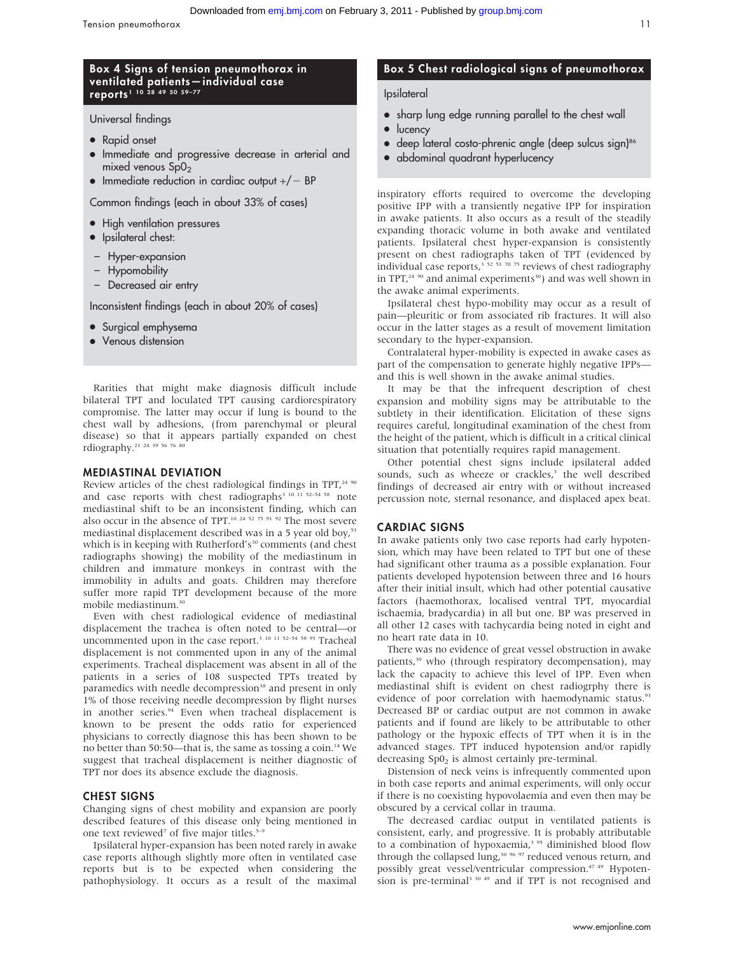### Box 4 Signs of tension pneumothorax in ventilated patients—individual case reports 1 10 28 49 50 59–77

Universal findings

- Rapid onset
- $\bullet$  Immediate and progressive decrease in arterial and mixed venous  $SpO<sub>2</sub>$
- $\bullet$  Immediate reduction in cardiac output  $+/-$  BP

Common findings (each in about 33% of cases)

- High ventilation pressures
- Ipsilateral chest:
- Hyper-expansion
- Hypomobility
- Decreased air entry

Inconsistent findings (each in about 20% of cases)

- Surgical emphysema
- Venous distension

Rarities that might make diagnosis difficult include bilateral TPT and loculated TPT causing cardiorespiratory compromise. The latter may occur if lung is bound to the chest wall by adhesions, (from parenchymal or pleural disease) so that it appears partially expanded on chest rdiography.<sup>21</sup> <sup>24</sup> <sup>39</sup> <sup>56</sup> <sup>76</sup> 8

#### MEDIASTINAL DEVIATION

Review articles of the chest radiological findings in TPT,<sup>24 90</sup> and case reports with chest radiographs<sup>3 10 11 52-54 58</sup> note mediastinal shift to be an inconsistent finding, which can also occur in the absence of TPT.<sup>10 24 52 75 91 92</sup> The most severe mediastinal displacement described was in a 5 year old boy,<sup>53</sup> which is in keeping with Rutherford's<sup>30</sup> comments (and chest radiographs showing) the mobility of the mediastinum in children and immature monkeys in contrast with the immobility in adults and goats. Children may therefore suffer more rapid TPT development because of the more mobile mediastinum.<sup>30</sup>

Even with chest radiological evidence of mediastinal displacement the trachea is often noted to be central—or uncommented upon in the case report.<sup>3 10 11 52–54 58</sup> <sup>93</sup> Tracheal displacement is not commented upon in any of the animal experiments. Tracheal displacement was absent in all of the patients in a series of 108 suspected TPTs treated by paramedics with needle decompression<sup>38</sup> and present in only 1% of those receiving needle decompression by flight nurses in another series.<sup>94</sup> Even when tracheal displacement is known to be present the odds ratio for experienced physicians to correctly diagnose this has been shown to be no better than 50:50—that is, the same as tossing a coin.14 We suggest that tracheal displacement is neither diagnostic of TPT nor does its absence exclude the diagnosis.

#### CHEST SIGNS

Changing signs of chest mobility and expansion are poorly described features of this disease only being mentioned in one text reviewed<sup>7</sup> of five major titles.<sup>5-1</sup>

Ipsilateral hyper-expansion has been noted rarely in awake case reports although slightly more often in ventilated case reports but is to be expected when considering the pathophysiology. It occurs as a result of the maximal

### Box 5 Chest radiological signs of pneumothorax

### Ipsilateral

- sharp lung edge running parallel to the chest wall
- $\bullet$  lucency
- deep lateral costo-phrenic angle (deep sulcus sign)<sup>86</sup>
- abdominal quadrant hyperlucency

inspiratory efforts required to overcome the developing positive IPP with a transiently negative IPP for inspiration in awake patients. It also occurs as a result of the steadily expanding thoracic volume in both awake and ventilated patients. Ipsilateral chest hyper-expansion is consistently present on chest radiographs taken of TPT (evidenced by individual case reports,  $3^{352}$  53 70 75 reviews of chest radiography in TPT,<sup>24 90</sup> and animal experiments<sup>30</sup>) and was well shown in the awake animal experiments.

Ipsilateral chest hypo-mobility may occur as a result of pain—pleuritic or from associated rib fractures. It will also occur in the latter stages as a result of movement limitation secondary to the hyper-expansion.

Contralateral hyper-mobility is expected in awake cases as part of the compensation to generate highly negative IPPs and this is well shown in the awake animal studies.

It may be that the infrequent description of chest expansion and mobility signs may be attributable to the subtlety in their identification. Elicitation of these signs requires careful, longitudinal examination of the chest from the height of the patient, which is difficult in a critical clinical situation that potentially requires rapid management.

Other potential chest signs include ipsilateral added sounds, such as wheeze or crackles,<sup>3</sup> the well described findings of decreased air entry with or without increased percussion note, sternal resonance, and displaced apex beat.

#### CARDIAC SIGNS

In awake patients only two case reports had early hypotension, which may have been related to TPT but one of these had significant other trauma as a possible explanation. Four patients developed hypotension between three and 16 hours after their initial insult, which had other potential causative factors (haemothorax, localised ventral TPT, myocardial ischaemia, bradycardia) in all but one. BP was preserved in all other 12 cases with tachycardia being noted in eight and no heart rate data in 10.

There was no evidence of great vessel obstruction in awake patients,<sup>30</sup> who (through respiratory decompensation), may lack the capacity to achieve this level of IPP. Even when mediastinal shift is evident on chest radiogrphy there is evidence of poor correlation with haemodynamic status.<sup>93</sup> Decreased BP or cardiac output are not common in awake patients and if found are likely to be attributable to other pathology or the hypoxic effects of TPT when it is in the advanced stages. TPT induced hypotension and/or rapidly decreasing  $SpO<sub>2</sub>$  is almost certainly pre-terminal.

Distension of neck veins is infrequently commented upon in both case reports and animal experiments, will only occur if there is no coexisting hypovolaemia and even then may be obscured by a cervical collar in trauma.

The decreased cardiac output in ventilated patients is consistent, early, and progressive. It is probably attributable to a combination of hypoxaemia,<sup>3 95</sup> diminished blood flow through the collapsed lung,<sup>30 96 97</sup> reduced venous return, and possibly great vessel/ventricular compression.<sup>47 49</sup> Hypotension is pre-terminal<sup>3 30 49</sup> and if TPT is not recognised and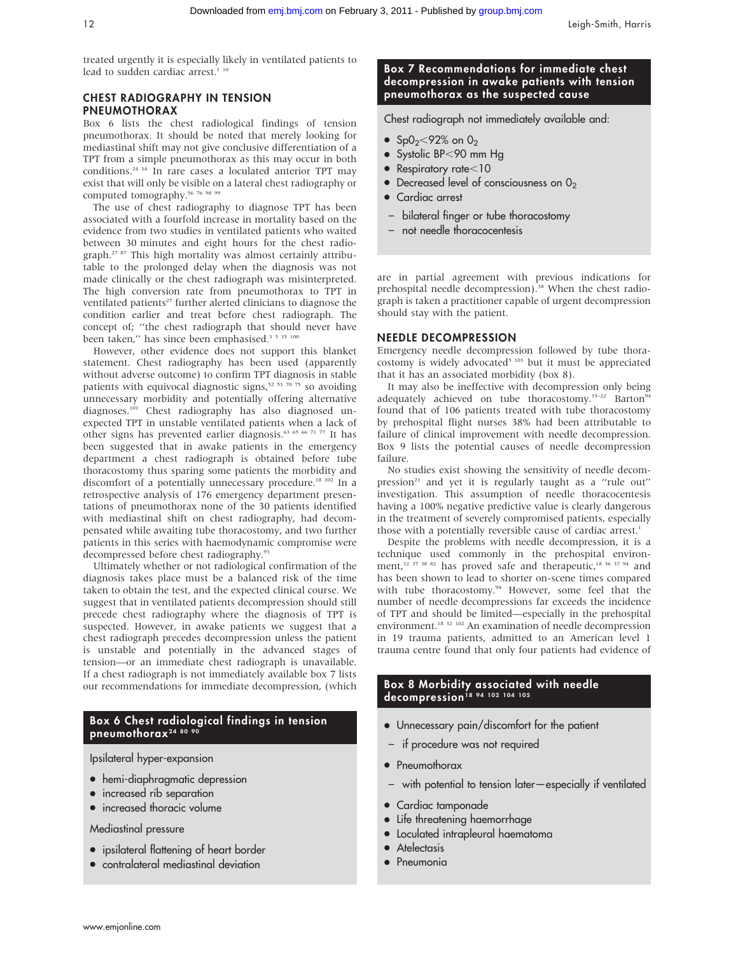treated urgently it is especially likely in ventilated patients to lead to sudden cardiac arrest.<sup>1 10</sup>

### CHEST RADIOGRAPHY IN TENSION PNEUMOTHORAX

Box 6 lists the chest radiological findings of tension pneumothorax. It should be noted that merely looking for mediastinal shift may not give conclusive differentiation of a TPT from a simple pneumothorax as this may occur in both conditions.24 34 In rare cases a loculated anterior TPT may exist that will only be visible on a lateral chest radiography or computed tomography.<sup>56 76 98 99</sup>

The use of chest radiography to diagnose TPT has been associated with a fourfold increase in mortality based on the evidence from two studies in ventilated patients who waited between 30 minutes and eight hours for the chest radiograph.<sup>27 87</sup> This high mortality was almost certainly attributable to the prolonged delay when the diagnosis was not made clinically or the chest radiograph was misinterpreted. The high conversion rate from pneumothorax to TPT in ventilated patients<sup>27</sup> further alerted clinicians to diagnose the condition earlier and treat before chest radiograph. The concept of; ''the chest radiograph that should never have been taken," has since been emphasised.<sup>3 5 35 100</sup>

However, other evidence does not support this blanket statement. Chest radiography has been used (apparently without adverse outcome) to confirm TPT diagnosis in stable patients with equivocal diagnostic signs, $52\frac{53\frac{70}{75}}{50\frac{75}{70}}$  so avoiding unnecessary morbidity and potentially offering alternative diagnoses.<sup>101</sup> Chest radiography has also diagnosed unexpected TPT in unstable ventilated patients when a lack of other signs has prevented earlier diagnosis.63 65 66 71 77 It has been suggested that in awake patients in the emergency department a chest radiograph is obtained before tube thoracostomy thus sparing some patients the morbidity and discomfort of a potentially unnecessary procedure.<sup>18 102</sup> In a retrospective analysis of 176 emergency department presentations of pneumothorax none of the 30 patients identified with mediastinal shift on chest radiography, had decompensated while awaiting tube thoracostomy, and two further patients in this series with haemodynamic compromise were decompressed before chest radiography.<sup>93</sup>

Ultimately whether or not radiological confirmation of the diagnosis takes place must be a balanced risk of the time taken to obtain the test, and the expected clinical course. We suggest that in ventilated patients decompression should still precede chest radiography where the diagnosis of TPT is suspected. However, in awake patients we suggest that a chest radiograph precedes decompression unless the patient is unstable and potentially in the advanced stages of tension—or an immediate chest radiograph is unavailable. If a chest radiograph is not immediately available box 7 lists our recommendations for immediate decompression, (which

### Box 6 Chest radiological findings in tension pneumothorax<sup>24 80 9</sup>

Ipsilateral hyper-expansion

- hemi-diaphragmatic depression
- increased rib separation
- increased thoracic volume

### Mediastinal pressure

- ipsilateral flattening of heart border
- contralateral mediastinal deviation

### Box 7 Recommendations for immediate chest decompression in awake patients with tension pneumothorax as the suspected cause

Chest radiograph not immediately available and:

- $SpO_2 < 92%$  on  $O_2$
- $\bullet$  Systolic BP<90 mm Hg
- $\bullet$  Respiratory rate $<$ 10
- $\bullet$  Decreased level of consciousness on  $0_2$
- Cardiac arrest
- bilateral finger or tube thoracostomy
- not needle thoracocentesis

are in partial agreement with previous indications for prehospital needle decompression).<sup>38</sup> When the chest radiograph is taken a practitioner capable of urgent decompression should stay with the patient.

### NEEDLE DECOMPRESSION

Emergency needle decompression followed by tube thoracostomy is widely advocated<sup>5 103</sup> but it must be appreciated that it has an associated morbidity (box 8).

It may also be ineffective with decompression only being adequately achieved on tube thoracostomy.<sup>15-22</sup> Barton<sup>94</sup> found that of 106 patients treated with tube thoracostomy by prehospital flight nurses 38% had been attributable to failure of clinical improvement with needle decompression. Box 9 lists the potential causes of needle decompression failure.

No studies exist showing the sensitivity of needle decompression<sup>21</sup> and yet it is regularly taught as a "rule out" investigation. This assumption of needle thoracocentesis having a 100% negative predictive value is clearly dangerous in the treatment of severely compromised patients, especially those with a potentially reversible cause of cardiac arrest.<sup>1</sup>

Despite the problems with needle decompression, it is a technique used commonly in the prehospital environment,<sup>32 37 38 82</sup> has proved safe and therapeutic,<sup>18 36 37 94</sup> and has been shown to lead to shorter on-scene times compared with tube thoracostomy.<sup>94</sup> However, some feel that the number of needle decompressions far exceeds the incidence of TPT and should be limited—especially in the prehospital environment.18 32 102 An examination of needle decompression in 19 trauma patients, admitted to an American level 1 trauma centre found that only four patients had evidence of

### Box 8 Morbidity associated with needle decompression<sup>18 94</sup> 102 104 105

- Unnecessary pain/discomfort for the patient
- if procedure was not required
- Pneumothorax
- with potential to tension later—especially if ventilated
- Cardiac tamponade
- Life threatening haemorrhage
- $\bullet$  Loculated intrapleural haematoma
- Atelectasis
- Pneumonia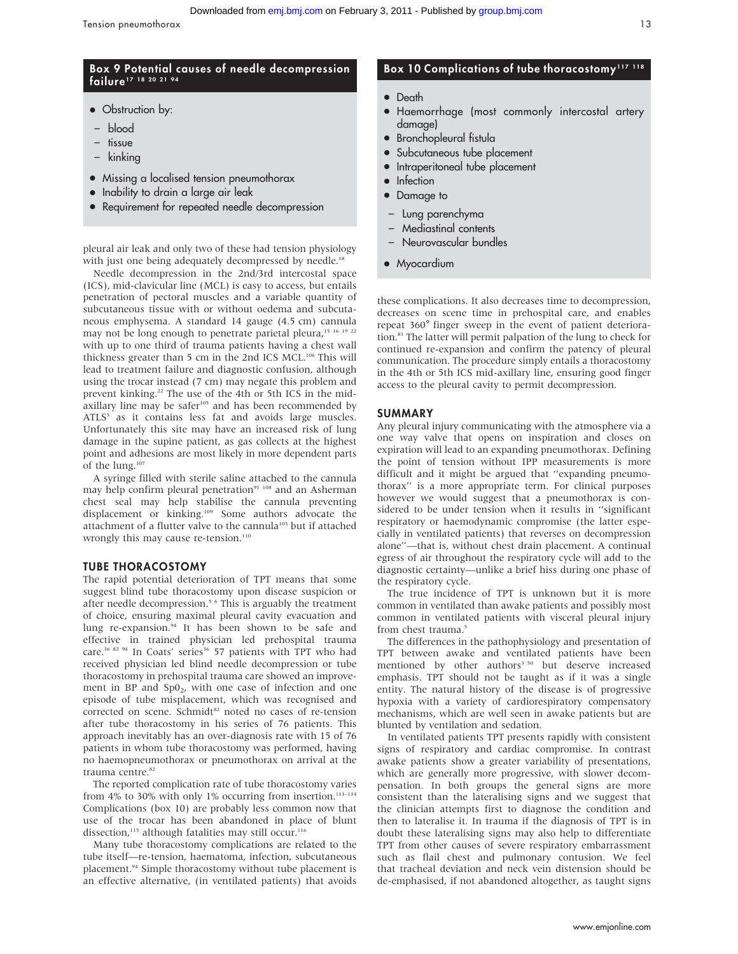### Box 9 Potential causes of needle decompression failure<sup>17</sup> 18 20 21 94

- Obstruction by:
- blood
- tissue
- kinking
- Missing a localised tension pneumothorax
- Inability to drain a large air leak
- Requirement for repeated needle decompression

pleural air leak and only two of these had tension physiology with just one being adequately decompressed by needle.<sup>18</sup>

Needle decompression in the 2nd/3rd intercostal space (ICS), mid-clavicular line (MCL) is easy to access, but entails penetration of pectoral muscles and a variable quantity of subcutaneous tissue with or without oedema and subcutaneous emphysema. A standard 14 gauge (4.5 cm) cannula may not be long enough to penetrate parietal pleura,<sup>15 16</sup> <sup>19</sup> <sup>22</sup> with up to one third of trauma patients having a chest wall thickness greater than 5 cm in the 2nd ICS MCL.<sup>106</sup> This will lead to treatment failure and diagnostic confusion, although using the trocar instead (7 cm) may negate this problem and prevent kinking.22 The use of the 4th or 5th ICS in the midaxillary line may be safer $105$  and has been recommended by  $ATLS<sup>5</sup>$  as it contains less fat and avoids large muscles. Unfortunately this site may have an increased risk of lung damage in the supine patient, as gas collects at the highest point and adhesions are most likely in more dependent parts of the lung.107

A syringe filled with sterile saline attached to the cannula may help confirm pleural penetration<sup>91 108</sup> and an Asherman chest seal may help stabilise the cannula preventing displacement or kinking.<sup>109</sup> Some authors advocate the attachment of a flutter valve to the cannula<sup>103</sup> but if attached wrongly this may cause re-tension.<sup>110</sup>

#### TUBE THORACOSTOMY

The rapid potential deterioration of TPT means that some suggest blind tube thoracostomy upon disease suspicion or after needle decompression.<sup>5 6</sup> This is arguably the treatment of choice, ensuring maximal pleural cavity evacuation and lung re-expansion.<sup>94</sup> It has been shown to be safe and effective in trained physician led prehospital trauma care.<sup>36 82 94</sup> In Coats' series<sup>36</sup> 57 patients with TPT who had received physician led blind needle decompression or tube thoracostomy in prehospital trauma care showed an improvement in BP and Sp0<sub>2</sub>, with one case of infection and one episode of tube misplacement, which was recognised and corrected on scene. Schmidt<sup>82</sup> noted no cases of re-tension after tube thoracostomy in his series of 76 patients. This approach inevitably has an over-diagnosis rate with 15 of 76 patients in whom tube thoracostomy was performed, having no haemopneumothorax or pneumothorax on arrival at the trauma centre.<sup>82</sup>

The reported complication rate of tube thoracostomy varies from 4% to 30% with only 1% occurring from insertion. $111-114$ Complications (box 10) are probably less common now that use of the trocar has been abandoned in place of blunt dissection,<sup>115</sup> although fatalities may still occur.<sup>116</sup>

Many tube thoracostomy complications are related to the tube itself—re-tension, haematoma, infection, subcutaneous placement.<sup>94</sup> Simple thoracostomy without tube placement is an effective alternative, (in ventilated patients) that avoids

### Box 10 Complications of tube thoracostomy<sup>117 118</sup>

- Death
- N Haemorrhage (most commonly intercostal artery damage)
- $\bullet$  Bronchopleural fistula
- Subcutaneous tube placement
- Intraperitoneal tube placement
- **Infection**
- Damage to
- Lung parenchyma
- Mediastinal contents
- Neurovascular bundles
- Myocardium

these complications. It also decreases time to decompression, decreases on scene time in prehospital care, and enables repeat 360˚ finger sweep in the event of patient deterioration.81 The latter will permit palpation of the lung to check for continued re-expansion and confirm the patency of pleural communication. The procedure simply entails a thoracostomy in the 4th or 5th ICS mid-axillary line, ensuring good finger access to the pleural cavity to permit decompression.

#### SUMMARY

Any pleural injury communicating with the atmosphere via a one way valve that opens on inspiration and closes on expiration will lead to an expanding pneumothorax. Defining the point of tension without IPP measurements is more difficult and it might be argued that ''expanding pneumothorax'' is a more appropriate term. For clinical purposes however we would suggest that a pneumothorax is considered to be under tension when it results in ''significant respiratory or haemodynamic compromise (the latter especially in ventilated patients) that reverses on decompression alone''—that is, without chest drain placement. A continual egress of air throughout the respiratory cycle will add to the diagnostic certainty—unlike a brief hiss during one phase of the respiratory cycle.

The true incidence of TPT is unknown but it is more common in ventilated than awake patients and possibly most common in ventilated patients with visceral pleural injury from chest trauma.<sup>5</sup>

The differences in the pathophysiology and presentation of TPT between awake and ventilated patients have been mentioned by other authors<sup>3 50</sup> but deserve increased emphasis. TPT should not be taught as if it was a single entity. The natural history of the disease is of progressive hypoxia with a variety of cardiorespiratory compensatory mechanisms, which are well seen in awake patients but are blunted by ventilation and sedation.

In ventilated patients TPT presents rapidly with consistent signs of respiratory and cardiac compromise. In contrast awake patients show a greater variability of presentations, which are generally more progressive, with slower decompensation. In both groups the general signs are more consistent than the lateralising signs and we suggest that the clinician attempts first to diagnose the condition and then to lateralise it. In trauma if the diagnosis of TPT is in doubt these lateralising signs may also help to differentiate TPT from other causes of severe respiratory embarrassment such as flail chest and pulmonary contusion. We feel that tracheal deviation and neck vein distension should be de-emphasised, if not abandoned altogether, as taught signs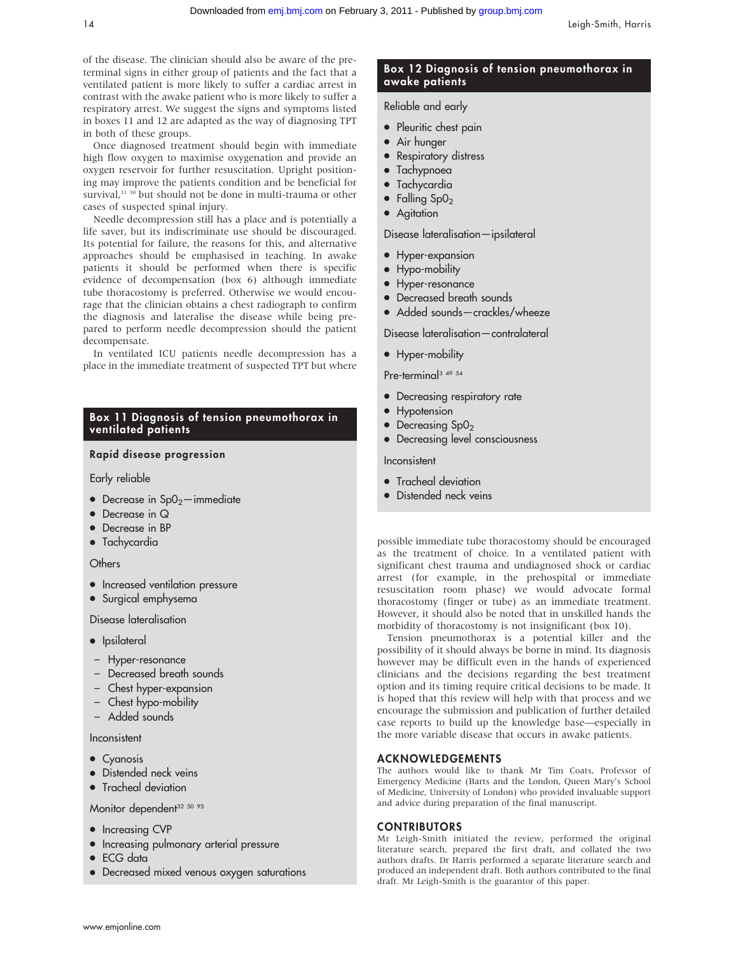of the disease. The clinician should also be aware of the preterminal signs in either group of patients and the fact that a ventilated patient is more likely to suffer a cardiac arrest in contrast with the awake patient who is more likely to suffer a respiratory arrest. We suggest the signs and symptoms listed in boxes 11 and 12 are adapted as the way of diagnosing TPT in both of these groups.

Once diagnosed treatment should begin with immediate high flow oxygen to maximise oxygenation and provide an oxygen reservoir for further resuscitation. Upright positioning may improve the patients condition and be beneficial for survival,<sup>11 30</sup> but should not be done in multi-trauma or other cases of suspected spinal injury.

Needle decompression still has a place and is potentially a life saver, but its indiscriminate use should be discouraged. Its potential for failure, the reasons for this, and alternative approaches should be emphasised in teaching. In awake patients it should be performed when there is specific evidence of decompensation (box 6) although immediate tube thoracostomy is preferred. Otherwise we would encourage that the clinician obtains a chest radiograph to confirm the diagnosis and lateralise the disease while being prepared to perform needle decompression should the patient decompensate.

In ventilated ICU patients needle decompression has a place in the immediate treatment of suspected TPT but where

### Box 11 Diagnosis of tension pneumothorax in ventilated patients

### Rapid disease progression

Early reliable

- $\bullet$  Decrease in Sp0<sub>2</sub>—immediate
- $\bullet$  Decrease in Q
- Decrease in BP
- Tachycardia

### **Others**

- Increased ventilation pressure
- $\bullet$  Surgical emphysema

Disease lateralisation

- Ipsilateral
- Hyper-resonance
- Decreased breath sounds
- Chest hyper-expansion
- Chest hypo-mobility
- Added sounds

#### Inconsistent

- Cyanosis
- Distended neck veins
- Tracheal deviation

### Monitor dependent<sup>32 50 95</sup>

- Increasing CVP
- $\bullet$  Increasing pulmonary arterial pressure
- ECG data
- Decreased mixed venous oxygen saturations

### Box 12 Diagnosis of tension pneumothorax in awake patients

### Reliable and early

- Pleuritic chest pain
- Air hunger
- Respiratory distress
- Tachypnoea
- Tachycardia
- $\bullet$  Falling SpO<sub>2</sub>
- Agitation

Disease lateralisation—ipsilateral

- Hyper-expansion
- Hypo-mobility
- Hyper-resonance
- Decreased breath sounds
- Added sounds-crackles/wheeze

Disease lateralisation—contralateral

• Hyper-mobility

Pre-terminal<sup>3 49 54</sup>

- Decreasing respiratory rate
- Hypotension
- $\bullet$  Decreasing Sp0<sub>2</sub>
- Decreasing level consciousness

#### Inconsistent

- $\bullet$  Tracheal deviation
- Distended neck veins

possible immediate tube thoracostomy should be encouraged as the treatment of choice. In a ventilated patient with significant chest trauma and undiagnosed shock or cardiac arrest (for example, in the prehospital or immediate resuscitation room phase) we would advocate formal thoracostomy (finger or tube) as an immediate treatment. However, it should also be noted that in unskilled hands the morbidity of thoracostomy is not insignificant (box 10).

Tension pneumothorax is a potential killer and the possibility of it should always be borne in mind. Its diagnosis however may be difficult even in the hands of experienced clinicians and the decisions regarding the best treatment option and its timing require critical decisions to be made. It is hoped that this review will help with that process and we encourage the submission and publication of further detailed case reports to build up the knowledge base—especially in the more variable disease that occurs in awake patients.

#### ACKNOWLEDGEMENTS

The authors would like to thank Mr Tim Coats, Professor of Emergency Medicine (Barts and the London, Queen Mary's School of Medicine, University of London) who provided invaluable support and advice during preparation of the final manuscript.

#### CONTRIBUTORS

Mr Leigh-Smith initiated the review, performed the original literature search, prepared the first draft, and collated the two authors drafts. Dr Harris performed a separate literature search and produced an independent draft. Both authors contributed to the final draft. Mr Leigh-Smith is the guarantor of this paper.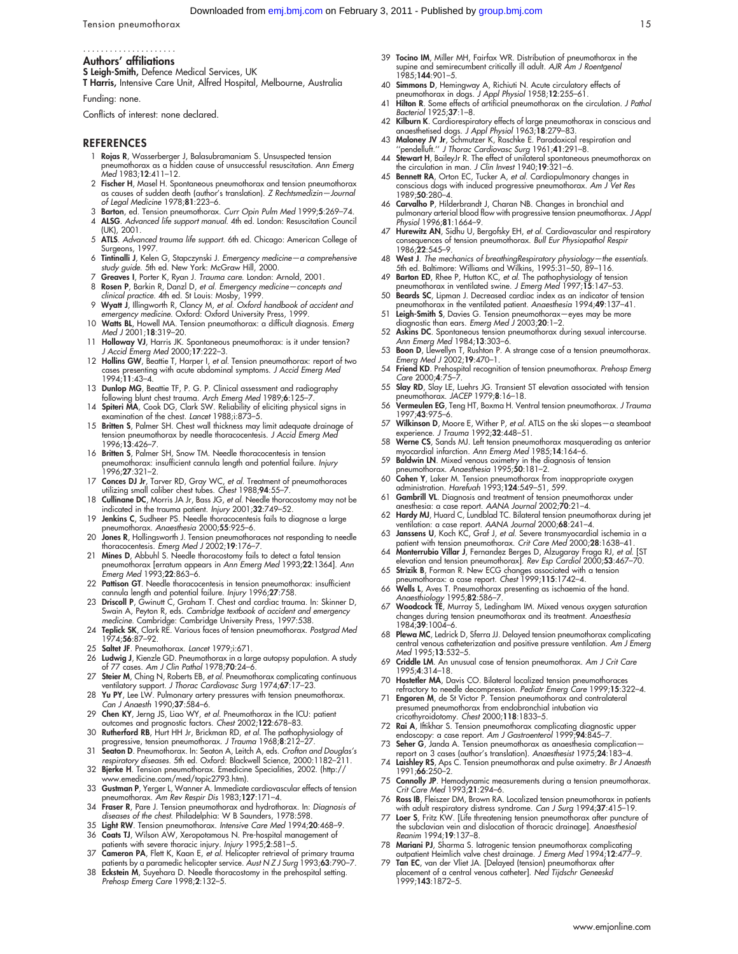Tension pneumothorax 15

#### Authors' affiliations .....................

S Leigh-Smith, Defence Medical Services, UK

T Harris, Intensive Care Unit, Alfred Hospital, Melbourne, Australia

Funding: none.

Conflicts of interest: none declared.

#### REFERENCES

- 1 Rojas R, Wasserberger J, Balasubramaniam S. Unsuspected tension pneumothorax as a hidden cause of unsuccessful resuscitation. Ann Emerg .<br>Med 1983;**12**:411-12.
- 2 Fischer H, Masel H. Spontaneous pneumothorax and tension pneumothorax as causes of sudden death (author's translation). Z Rechtsmedizin—Journal of Legal Medicine 1978;81:223–6.
- 3 Barton, ed. Tension pneumothorax. Curr Opin Pulm Med 1999;5:269–74.
- 4 ALSG. Advanced life support manual. 4th ed. London: Resuscitation Council (UK), 2001.
- 5 ATLS. Advanced trauma life support. 6th ed. Chicago: American College of
- Surgeons, 1997.<br>6 **Tintinalli J**, Kelen G, Stapczynski J. Emergency medicine—a comprehensive<br>study guide. 5th ed. New York: McGraw Hill, 2000.
- Greaves I, Porter K, Ryan J. Trauma care. London: Arnold, 2001. 8 Rosen P, Barkin R, Danzl D, et al. Emergency medicine—concepts and
- clinical practice. 4th ed. St Louis: Mosby, 1999. 9 Wyatt J, Illingworth R, Clancy M, et al. Oxford handbook of accident and emergency medicine. Oxford: Oxford University Press, 1999.
- 10 Watts BL, Howell MA. Tension pneumothorax: a difficult diagnosis. Emerg Med J 2001;18:319–20.
- 11 Holloway VJ, Harris JK. Spontaneous pneumothorax: is it under tension? J Accid Emerg Med 2000;17:222–3.
- 12 Hollins GW, Beattie T, Harper I, et al. Tension pneumothorax: report of two cases presenting with acute abdominal symptoms. J Accid Emerg Med 1994;11:43–4.
- 13 Dunlop MG, Beattie TF, P. G. P. Clinical assessment and radiography
- following blunt chest trauma. Arch Emerg Med 1989;6:125–7. 14 Spiteri MA, Cook DG, Clark SW. Reliability of eliciting physical signs in examination of the chest. Lancet 1988;i:873–5.
- 15 Britten S, Palmer SH. Chest wall thickness may limit adequate drainage of tension pneumothorax by needle thoracocentesis. J Accid Emerg Med 1996;13:426–7.
- 16 Britten S, Palmer SH, Snow TM. Needle thoracocentesis in tension neumothorax: insufficient cannula length and potential failure. Injury 1996;27:321–2.
- 17 Conces DJ Jr, Tarver RD, Gray WC, et al. Treatment of pneumothoraces utilizing small caliber chest tubes. Chest 1988;94:55–7.
- 18 Cullinane DC, Morris JA Jr, Bass JG, et al. Needle thoracostomy may not be
- indicated in the trauma patient. Injury 2001;32:749–52. 19 Jenkins C, Sudheer PS. Needle thoracocentesis fails to diagnose a large pneumothorax. Anaesthesia 2000;55:925–6.
- 20 Jones R, Hollingsworth J. Tension pneumothoraces not responding to needle thoracocentesis. Emerg Med J 2002;19:176–7.
- 21 Mines D, Abbuhl S. Needle thoracostomy fails to detect a fatal tension pneumothorax [erratum appears in Ann Emerg Med 1993;22:1364]. Ann Emerg Med 1993;22:863–6.
- 22 Pattison GT. Needle thoracocentesis in tension pneumothorax: insufficient cannula length and potential failure. Injury 1996;27:758.
- 23 Driscoll P, Gwinutt C, Graham T. Chest and cardiac trauma. In: Skinner D, Swain A, Peyton R, eds. Cambridge textbook of accident and emergency medicine. Cambridge: Cambridge University Press, 1997:538.
- 24 Teplick SK, Clark RE. Various faces of tension pneumothorax. Postgrad Med 1974;56:87–92.
- 25 Saltet JF. Pneumothorax. Lancet 1979;i:671.
- 26 Ludwig J, Kienzle GD. Pneumothorax in a large autopsy population. A study of 77 cases. Am J Clin Pathol 1978;70:24–6.
- 27 Steier M, Ching N, Roberts EB, et al. Pneumothorax complicating continuous ventilatory support. J Thorac Cardiovasc Surg 1974;67:17-23.
- 28 Yu PY, Lee LW. Pulmonary artery pressures with tension pneumothorax. Can J Anaesth 1990;37:584–6.
- 29 Chen KY, Jerng JS, Liao WY, et al. Pneumothorax in the ICU: patient
- outcomes and prognostic factors. Chest 2002;1**22**:678–83.<br>30 **Rutherford RB**, Hurt HH Jr, Brickman RD, et al. The pathophysiology of<br>progressive, tension pneumothorax. *J Trauma* 1968;**8**:212–27.
- 31 Seaton D. Pneumothorax. In: Seaton A, Leitch A, eds. Crofton and Douglas's respiratory diseases. 5th ed. Oxford: Blackwell Science, 2000:1182–211. 32 Bjerke H. Tension pneumothorax. Emedicine Specialities, 2002. (http://
- www.emedicine.com/med/topic2793.htm). 33 Gustman P, Yerger L, Wanner A. Immediate cardiovascular effects of tension pneumothorax. Am Rev Respir Dis 1983;127:171–4.
- 34 Fraser R, Pare J. Tension pneumothorax and hydrothorax. In: Diagnosis of
- diseases of the chest. Philadelphia: W B Saunders, 1978:598. 35 Light RW. Tension pneumothorax. Intensive Care Med 1994;20:468–9.
- 36 Coats TJ, Wilson AW, Xeropotamous N. Pre-hospital management of
- patients with severe thoracic injury. *Injury* 1995;2:581–5.<br>37 **Cameron PA**, Flett K, Kaan E, *et al.* Helicopter retrieval of primary trauma<br>patients by a paramedic helicopter service. Aust N Z J Surg 1993;**63**:790–7.<br>**3**
- Prehosp Emerg Care 1998;2:132-5.
- 39 Tocino IM, Miller MH, Fairfax WR. Distribution of pneumothorax in the supine and semirecumbent critically ill adult. AJR Am J Roentgenol 1985;144:901–5.
- 40 Simmons D, Hemingway A, Richiuti N. Acute circulatory effects of pneumothorax in dogs. J Appl Physiol 1958;12:255-61.
- 41 **Hilton R**. Some effects of artificial pneumothorax on the circulation. J Pathol Bacteriol 1925;37:1–8.
- 42 Kilburn K. Cardiorespiratory effects of large pneumothorax in conscious and anaesthetised dogs. J Appl Physiol 1963;18:279–83.
- 43 Maloney JV Jr, Schmutzer K, Raschke E. Paradoxical respiration and ''pendelluft.'' J Thorac Cardiovasc Surg 1961;41:291–8.
- 44 Stewart H, BaileyJr R. The effect of unilateral spontaneous pneumothorax on the circulation in man. J Clin Invest 1940;19:321–6. 45 Bennett RA, Orton EC, Tucker A, et al. Cardiopulmonary changes in
- conscious dogs with induced progressive pneumothorax. A*m J Vet Res*<br>1989;**50**:280–4.
- 46 Carvalho P, Hilderbrandt J, Charan NB. Changes in bronchial and pulmonary arterial blood flow with progressive tension pneumothorax. J Appl Physiol 1996;81:1664-9.
- 47 Hurewitz AN, Sidhu U, Bergofsky EH, et al. Cardiovascular and respiratory consequences of tension pneumothorax. Bull Eur Physiopathol Respir 1986;22:545–9
- 48 West J. The mechanics of breathingRespiratory physiology—the essentials. 5th ed. Baltimore: Williams and Wilkins, 1995:31–50, 89–116.
- 49 Barton ED, Rhee P, Hutton KC, et al. The pathophysiology of tension pneumothorax in ventilated swine. J Emerg Med 1997;15:147-53.
- 50 Beards SC, Lipman J. Decreased cardiac index as an indicator of tension pneumothorax in the ventilated patient. Anaesthesia 1994;49:137–41.
- 51 Leigh-Smith S, Davies G. Tension pneumothorax—eyes may be more diagnostic than ears. Emerg Med J 2003;20:1–2.
- 52 Askins DC. Spontaneous tension pneumothorax during sexual intercourse. Ann Emerg Med 1984;**13**:303–6.<br>53 **Boon D**, Llewellyn T, Rushton P. A strange case of a tension pneumothorax.
- Emerg Med J 2002;19:470–1.
- 54 Friend KD. Prehospital recognition of tension pneumothorax. Prehosp Emerg Care 2000;4:75–7. 55 Slay RD, Slay LE, Luehrs JG. Transient ST elevation associated with tension
- pneumothorax. JACEP 1979;8:16–18. 56 Vermeulen EG, Teng HT, Boxma H. Ventral tension pneumothorax. J Trauma 1997;43:975–6.
- 57 Wilkinson D, Moore E, Wither P, et al. ATLS on the ski slopes-a steamboat experience. J Trauma 1992;32:448-51.
- 58 Werne CS, Sands MJ. Left tension pneumothorax masquerading as anterior myocardial infarction. Ann Emerg Med 1985;14:164–6.
- 59 Baldwin LN. Mixed venous oximetry in the diagnosis of tension neumothorax. *Anaesthesia* 1995;**50**:181–2.
- 60 Cohen Y, Laker M. Tension pneumothorax from inappropriate oxygen administration. Harefuah 1993;124:549–51, 599.
- 61 Gambrill VL. Diagnosis and treatment of tension pneumothorax under anesthesia: a case report. AANA Journal 2002;70:21–4.
- 62 Hardy MJ, Huard C, Lundblad TC. Bilateral tension pneumothorax during jet ventilation: a case report. AANA Journal 2000;68:241–4. 63 Janssens U, Koch KC, Graf J, et al. Severe transmyocardial ischemia in a
- 
- patient with tension pneumothorax. *Crit Care Med* 2000;**28**:1638–41.<br>64 **Monterrubio Villar J**, Fernandez Berges D, Alzugaray Fraga RJ, *et al.* [ST<br>elevation and tension pneumothorax]. *Rev Esp Cardiol* 2000;**53**:467–70.
- 65 Strizik B, Forman R. New ECG changes associated with a tension<br>pneumothorax: a case report. Chest 1999;115:1742–4.<br>66 Wells L, Aves T. Pneumothorax presenting as ischaemia of the hand.
- Anaesthiology 1995;82:586–7.
- 67 Woodcock TE, Murray S, Ledingham IM. Mixed venous oxygen saturation changes during tension pneumothorax and its treatment. Anaesthesia 1984;39:1004–6.
- 68 Plewa MC, Ledrick D, Sferra JJ. Delayed tension pneumothorax complicating central venous catheterization and positive pressure ventilation. Am J Emerg Med 1995;13:532–5.
- 69 Criddle LM. An unusual case of tension pneumothorax. Am J Crit Care 1995;4:314–18.
- 70 Hostetler MA, Davis CO. Bilateral localized tension pneumothoraces refractory to needle decompression. Pediatr Emerg Care 1999;15:322–4.
- 71 Engoren M, de St Victor P. Tension pneumothorax and contralateral presumed pneumothorax from endobronchial intubation via
- cricothyroidotomy. Chest 2000;118:1833–5.<br>72 **Rai A**, Iftikhar S. Tension pneumothorax complicating diagnostic upper<br>endoscopy: a case report. A*m J Gastroenterol* 1999;**94**:845–7.
- 73 Seher G, Janda A. Tension pneumothorax as anaesthesia complication report on 3 cases (author's translation). Anaesthesist 1975;24:183–4.
- 74 Laishley RS, Aps C. Tension pneumothorax and pulse oximetry. Br J Anaesth 1991;66:250–2.
- 75 Connolly JP. Hemodynamic measurements during a tension pneumothorax.
- Crit Care Med 1993;**21**:294–6.<br>76 **Ross IB**, Fleiszer DM, Brown RA. Localized tension pneumothorax in patients
- with adult respiratory distress syndrome. *Can J Surg* 1994;**37**:415–19.<br>77 **Loer S**, Fritz KW. [Life threatening tension pneumothorax after puncture of the subclavian vein and dislocation of thoracic drainage]. Anaesthesiol Reanim 1994;19:137–8.
- 78 Mariani PJ, Sharma S. Iatrogenic tension pneumothorax complicating outpatient Heimlich valve chest drainage. J Emerg Med 1994;12:477–9.
- 79 Tan EC, van der Vliet JA. [Delayed (tension) pneumothorax after placement of a central venous catheter]. Ned Tijdschr Geneeskd placement of a com-<br>1999;143:1872-5.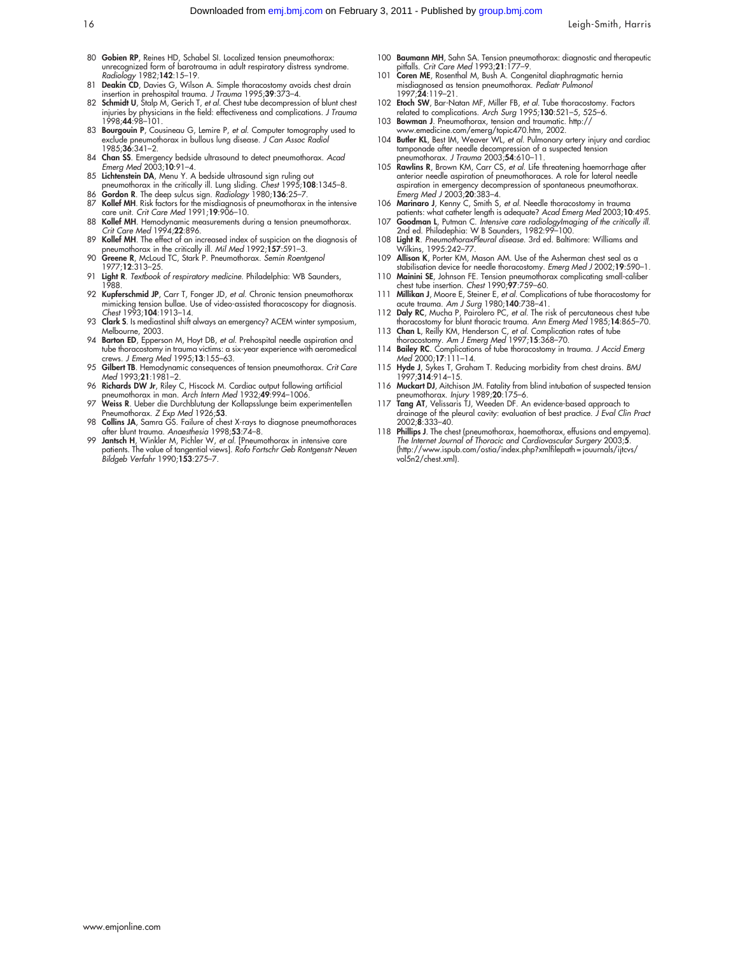- 80 Gobien RP, Reines HD, Schabel SI. Localized tension pneumothorax: unrecognized form of barotrauma in adult respiratory distress syndrome. Radiology 1982;142:15–19.
- 81 Deakin CD, Davies G, Wilson A. Simple thoracostomy avoids chest drain insertion in prehospital trauma. J Trauma 1995;39:373–4.
- 82 Schmidt U, Stalp M, Gerich T, et al. Chest tube decompression of blunt chest injuries by physicians in the field: effectiveness and complications. *J Trauma*<br>1998;**44**:98–101.
- 83 Bourgouin P, Cousineau G, Lemire P, et al. Computer tomography used to exclude pneumothorax in bullous lung disease. J Can Assoc Radiol 1985;36:341–2.
- 84 Chan SS. Emergency bedside ultrasound to detect pneumothorax. Acad Emerg Med 2003;10:91–4.
- 85 L**ichtenstein DA**, Menu Y. A bedside ultrasound sign ruling out<br>pneumothorax in the critically ill. Lung sliding. *Chest* 1995;**108**:1345–8.<br>86 **Gordon R**. The deep sulcus sign. *Radiology* 1980;**136**:25–7.
- 87 Kollef MH. Risk factors for the misdiagnosis of pneumothorax in the intensive care unit. Crit Care Med 1991;19:906–10.
- 88 Kollef MH. Hemodynamic measurements during a tension pneumothorax. Crit Care Med 1994;22:896.
- 89 Kollef MH. The effect of an increased index of suspicion on the diagnosis of
- pneumothorax in the critically ill. Mil Med 1992;157:591–3. 90 Greene R, McLoud TC, Stark P. Pneumothorax. Semin Roentgenol 1977;12:313–25.
- 91 Light R. Textbook of respiratory medicine. Philadelphia: WB Saunders, 1988.
- 92 Kupferschmid JP, Carr T, Fonger JD, et al. Chronic tension pneumothorax mimicking tension bullae. Use of video-assisted thoracoscopy for diagnosis. Chest 1993;104:1913–14.
- 93 Clark S. Is mediastinal shift always an emergency? ACEM winter symposium, Melbourne, 2003.
- 94 Barton ED, Epperson M, Hoyt DB, et al. Prehospital needle aspiration and tube thoracostomy in trauma victims: a six-year experience with aeromedical crews. J Emerg Med 1995;13:155–63.
- 95 Gilbert TB. Hemodynamic consequences of tension pneumothorax. Crit Care Med 1993;21:1981–2.
- 96 Richards DW Jr, Riley C, Hiscock M. Cardiac output following artificial pneumothorax in man. Arch Intern Med 1932;49:994–1006.
- Weiss R. Ueber die Durchblutung der Kollapsslunge beim experimentellen Pneumothorax. Z Exp Med 1926;53.
- 98 Collins JA, Samra GS. Failure of chest X-rays to diagnose pneumothoraces after blunt trauma. Anaesthesia 1998;53:74-8.
- 99 Jantsch H, Winkler M, Pichler W, et al. [Pneumothorax in intensive care patients. The value of tangential views]. *Rofo Fortschr Geb Rontgenstr Neuen*<br>Bildgeb *Verfahr* 1990;**153**:275–7.
- 100 **Baumann MH**, Sahn SA. Tension pneumothorax: diagnostic and therapeutic
- pitfalls. *Crit Care Med* 1993;**21**:177–9.<br>101 **Coren ME**, Rosenthal M, Bush A. Congenital diaphragmatic hernia misdiagnosed as tension pneumothorax. Pediatr Pulmonol  $1997.24.119-21$
- 102 Etoch SW, Bar-Natan MF, Miller FB, et al. Tube thoracostomy. Factors related to complications. Arch Surg 1995;130:521–5, 525–6.
- 103 Bowman J. Pneumothorax, tension and traumatic. http://
- www.emedicine.com/emerg/topic470.htm, 2002. 104 Butler KL, Best IM, Weaver WL, et al. Pulmonary artery injury and cardiac tamponade after needle decompression of a suspected tension pneumothorax. J Trauma 2003;54:610–11.
- 105 Rawlins R, Brown KM, Carr CS, et al. Life threatening haemorrhage after anterior needle aspiration of pneumothoraces. A role for lateral needle aspiration in emergency decompression of spontaneous pneumothorax. Emerg Med J 2003;20:383–4.
- 106 Marinaro J, Kenny C, Smith S, et al. Needle thoracostomy in trauma patients: what catheter length is adequate? Acad Emerg Med 2003;10:495.
- 107 **Goodman L**, Putman C. Intensive care radiologyImaging of the critically ill.<br>2nd ed. Philadephia: W B Saunders, 1982:99–100. 108 Light R. PneumothoraxPleural disease. 3rd ed. Baltimore: Williams and
- Wilkins, 1995:242–77. 109 Allison K, Porter KM, Mason AM. Use of the Asherman chest seal as a
- stabilisation device for needle thoracostomy. Emerg Med J 2002;19:590–1.
- 110 Mainini SE, Johnson FE. Tension pneumothorax complicating small-caliber chest tube insertion. Chest 1990;97:759–60.
- 111 Millikan J, Moore E, Steiner E, et al. Complications of tube thoracostomy for acute trauma. Am J Surg 1980;140:738–41.
- 112 Daly RC, Mucha P, Pairolero PC, et al. The risk of percutaneous chest tube thoracostomy for blunt thoracic trauma. Ann Emerg Med 1985;14:865–70.
- 113 Chan L, Reilly KM, Henderson C, et al. Complication rates of tube thoracostomy. Am J Emerg Med 1997;15:368–70.
- 114 Bailey RC. Complications of tube thoracostomy in trauma. J Accid Emerg Med 2000;17:111–14.
- 115 **Hyde J**, Sykes T, Graham T. Reducing morbidity from chest drains. BMJ<br>1997;**314**:914–15.
- 116 Muckart DJ, Aitchison JM. Fatality from blind intubation of suspected tension pneumothorax. Injury 1989;20:175-6.
- 117 Tang AT, Velissaris TJ, Weeden DF. An evidence-based approach to drainage of the pleural cavity: evaluation of best practice. J Eval Clin Pract 2002;8:333–40.
- 118 Phillips J. The chest (pneumothorax, haemothorax, effusions and empyema). The Internet Journal of Thoracic and Cardiovascular Surgery 2003;5. (http://www.ispub.com/ostia/index.php?xmlfilepath = jouurnals/ijtcvs/ vol5n2/chest.xml).